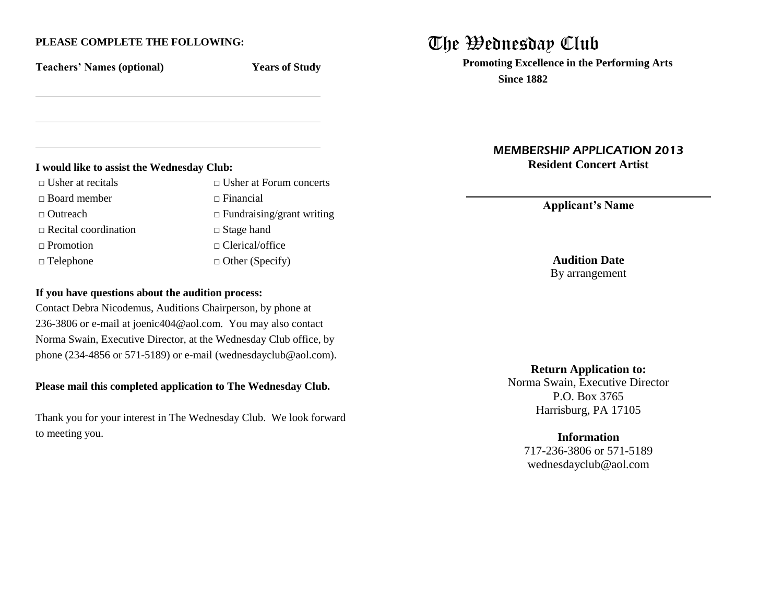## **PLEASE COMPLETE THE FOLLOWING:**

**Teachers' Names (optional) Years of Study**

#### **I would like to assist the Wednesday Club:**

| $\Box$ Usher at recitals    | $\Box$ Usher at Forum concerts   |  |
|-----------------------------|----------------------------------|--|
| $\Box$ Board member         | $\Box$ Financial                 |  |
| $\Box$ Outreach             | $\Box$ Fundraising/grant writing |  |
| $\Box$ Recital coordination | $\Box$ Stage hand                |  |
| $\Box$ Promotion            | $\Box$ Clerical/office           |  |
| $\Box$ Telephone            | $\Box$ Other (Specify)           |  |
|                             |                                  |  |

## **If you have questions about the audition process:**

Contact Debra Nicodemus, Auditions Chairperson, by phone at 236-3806 or e-mail at joenic404@aol.com. You may also contact Norma Swain, Executive Director, at the Wednesday Club office, by phone (234-4856 or 571-5189) or e-mail (wednesdayclub@aol.com).

## **Please mail this completed application to The Wednesday Club.**

Thank you for your interest in The Wednesday Club. We look forward to meeting you.

# The Wednesday Club

**Promoting Excellence in the Performing Arts Since 1882**

> MEMBERSHIP APPLICATION 2013 **Resident Concert Artist**

> > **Applicant's Name**

**Audition Date** By arrangement

**Return Application to:** Norma Swain, Executive Director P.O. Box 3765 Harrisburg, PA 17105

**Information**

717-236-3806 or 571-5189 wednesdayclub@aol.com